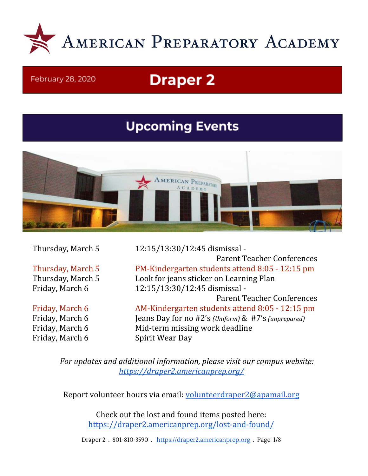

#### February 28, 2020

# **Draper 2**

## **Upcoming Events**



Friday, March 6 Spirit Wear Day

Thursday, March 5 12:15/13:30/12:45 dismissal - Parent Teacher Conferences Thursday, March 5 PM-Kindergarten students attend 8:05 - 12:15 pm Thursday, March 5 Look for jeans sticker on Learning Plan Friday, March 6 12:15/13:30/12:45 dismissal - Parent Teacher Conferences Friday, March 6 **AM-Kindergarten students attend 8:05 - 12:15 pm** Friday, March 6 Jeans Day for no #2's *(Uniform)* & #7's *(unprepared)* Friday, March 6 Mid-term missing work deadline

*For updates and additional information, please visit our campus website: <https://draper2.americanprep.org/>*

Report volunteer hours via email: [volunteerdraper2@apamail.org](mailto:volunteerdraper2@apamail.org)

Check out the lost and found items posted here: <https://draper2.americanprep.org/lost-and-found/>

Draper 2 . 801-810-3590 . [https://draper2.americanprep.org](https://draper2.americanprep.org/) . Page 1/8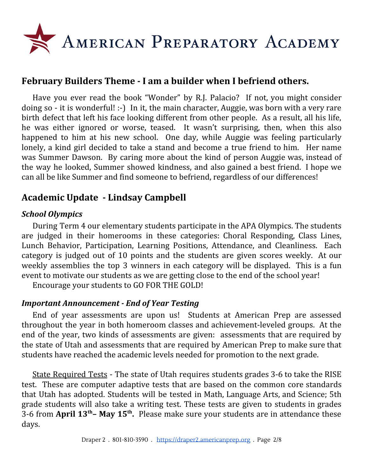

## **February Builders Theme - I am a builder when I befriend others.**

Have you ever read the book "Wonder" by R.J. Palacio? If not, you might consider doing so - it is wonderful! :-) In it, the main character, Auggie, was born with a very rare birth defect that left his face looking different from other people. As a result, all his life, he was either ignored or worse, teased. It wasn't surprising, then, when this also happened to him at his new school. One day, while Auggie was feeling particularly lonely, a kind girl decided to take a stand and become a true friend to him. Her name was Summer Dawson. By caring more about the kind of person Auggie was, instead of the way he looked, Summer showed kindness, and also gained a best friend. I hope we can all be like Summer and find someone to befriend, regardless of our differences!

## **Academic Update - Lindsay Campbell**

## *School Olympics*

During Term 4 our elementary students participate in the APA Olympics. The students are judged in their homerooms in these categories: Choral Responding, Class Lines, Lunch Behavior, Participation, Learning Positions, Attendance, and Cleanliness. Each category is judged out of 10 points and the students are given scores weekly. At our weekly assemblies the top 3 winners in each category will be displayed. This is a fun event to motivate our students as we are getting close to the end of the school year!

Encourage your students to GO FOR THE GOLD!

### *Important Announcement - End of Year Testing*

End of year assessments are upon us! Students at American Prep are assessed throughout the year in both homeroom classes and achievement-leveled groups. At the end of the year, two kinds of assessments are given: assessments that are required by the state of Utah and assessments that are required by American Prep to make sure that students have reached the academic levels needed for promotion to the next grade.

State Required Tests - The state of Utah requires students grades 3-6 to take the RISE test. These are computer adaptive tests that are based on the common core standards that Utah has adopted. Students will be tested in Math, Language Arts, and Science; 5th grade students will also take a writing test. These tests are given to students in grades 3-6 from **April 13 th– May 15 th .** Please make sure your students are in attendance these days.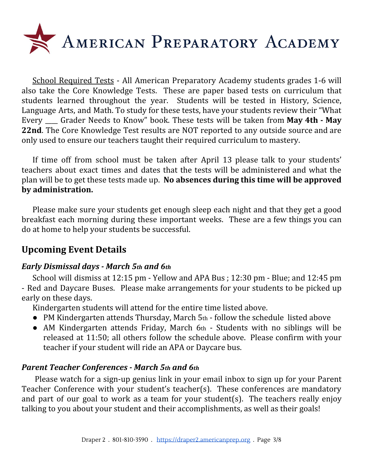

School Required Tests - All American Preparatory Academy students grades 1-6 will also take the Core Knowledge Tests. These are paper based tests on curriculum that students learned throughout the year. Students will be tested in History, Science, Language Arts, and Math. To study for these tests, have your students review their "What Every \_\_\_\_ Grader Needs to Know" book. These tests will be taken from **May 4th - May 22nd**. The Core Knowledge Test results are NOT reported to any outside source and are only used to ensure our teachers taught their required curriculum to mastery.

If time off from school must be taken after April 13 please talk to your students' teachers about exact times and dates that the tests will be administered and what the plan will be to get these tests made up. **No absences during this time will be approved by administration.**

Please make sure your students get enough sleep each night and that they get a good breakfast each morning during these important weeks. These are a few things you can do at home to help your students be successful.

## **Upcoming Event Details**

### *Early Dismissal days - March 5th and 6th*

School will dismiss at 12:15 pm - Yellow and APA Bus ; 12:30 pm - Blue; and 12:45 pm - Red and Daycare Buses. Please make arrangements for your students to be picked up early on these days.

Kindergarten students will attend for the entire time listed above.

- PM Kindergarten attends Thursday, March 5th follow the schedule listed above
- AM Kindergarten attends Friday, March 6th Students with no siblings will be released at 11:50; all others follow the schedule above. Please confirm with your teacher if your student will ride an APA or Daycare bus.

### *Parent Teacher Conferences - March 5th and 6th*

Please watch for a sign-up genius link in your email inbox to sign up for your Parent Teacher Conference with your student's teacher(s). These conferences are mandatory and part of our goal to work as a team for your student(s). The teachers really enjoy talking to you about your student and their accomplishments, as well as their goals!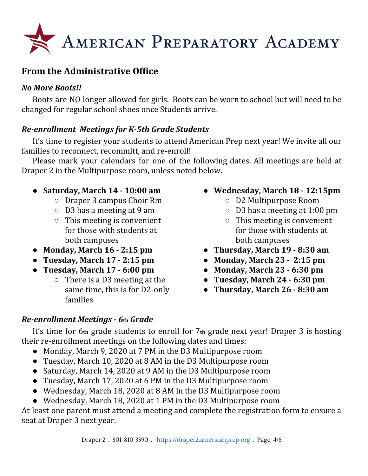

## **From the Administrative Office**

## *No More Boots!!*

Boots are NO longer allowed for girls. Boots can be worn to school but will need to be changed for regular school shoes once Students arrive.

## *Re-enrollment Meetings for K-5th Grade Students*

It's time to register your students to attend American Prep next year! We invite all our families to reconnect, recommitt, and re-enroll!

Please mark your calendars for one of the following dates. All meetings are held at Draper 2 in the Multipurpose room, unless noted below.

- **Saturday, March 14 - 10:00 am**
	- Draper 3 campus Choir Rm
	- D3 has a meeting at 9 am
	- $\circ$  This meeting is convenient for those with students at both campuses
- **Monday, March 16 - 2:15 pm**
- **Tuesday, March 17 - 2:15 pm**
- **Tuesday, March 17 - 6:00 pm**
	- $\circ$  There is a D3 meeting at the same time, this is for D2-only families
- **Wednesday, March 18 - 12:15pm**
	- **○** D2 Multipurpose Room
	- **○** D3 has a meeting at 1:00 pm
	- **○** This meeting is convenient for those with students at both campuses
- **Thursday, March 19 - 8:30 am**
- **Monday, March 23 - 2:15 pm**
- **Monday, March 23 - 6:30 pm**
- **Tuesday, March 24 - 6:30 pm**
- **Thursday, March 26 - 8:30 am**

## *Re-enrollment Meetings - 6***th** *Grade*

It's time for 6**th** grade students to enroll for 7**th** grade next year! Draper 3 is hosting their re-enrollment meetings on the following dates and times:

- Monday, March 9, 2020 at 7 PM in the D3 Multipurpose room
- Tuesday, March 10, 2020 at 8 AM in the D3 Multipurpose room
- Saturday, March 14, 2020 at 9 AM in the D3 Multipurpose room
- Tuesday, March 17, 2020 at 6 PM in the D3 Multipurpose room
- Wednesday, March 18, 2020 at 8 AM in the D3 Multipurpose room
- Wednesday, March 18, 2020 at 1 PM in the D3 Multipurpose room

At least one parent must attend a meeting and complete the registration form to ensure a seat at Draper 3 next year.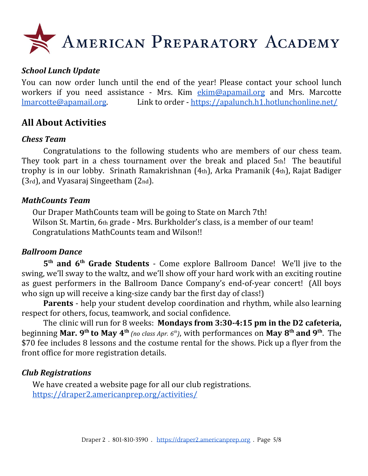

### *School Lunch Update*

You can now order lunch until the end of the year! Please contact your school lunch workers if you need assistance - Mrs. Kim [ekim@apamail.org](mailto:ekim@apamail.org) and Mrs. Marcotte [lmarcotte@apamail.org.](mailto:lmarcotte@apamail.org) Link to order - <https://apalunch.h1.hotlunchonline.net/>

## **All About Activities**

#### *Chess Team*

Congratulations to the following students who are members of our chess team. They took part in a chess tournament over the break and placed 5th! The beautiful trophy is in our lobby. Srinath Ramakrishnan (4th), Arka Pramanik (4th), Rajat Badiger (3rd), and Vyasaraj Singeetham (2nd).

#### *MathCounts Team*

Our Draper MathCounts team will be going to State on March 7th! Wilson St. Martin, 6th grade - Mrs. Burkholder's class, is a member of our team! Congratulations MathCounts team and Wilson!!

#### *Ballroom Dance*

**5 th and 6 th Grade Students** - Come explore Ballroom Dance! We'll jive to the swing, we'll sway to the waltz, and we'll show off your hard work with an exciting routine as guest performers in the Ballroom Dance Company's end-of-year concert! (All boys who sign up will receive a king-size candy bar the first day of class!)

**Parents** - help your student develop coordination and rhythm, while also learning respect for others, focus, teamwork, and social confidence.

The clinic will run for 8 weeks: **Mondays from 3:30-4:15 pm in the D2 cafeteria,** beginning Mar. 9<sup>th</sup> to May 4<sup>th</sup> (no class Apr. 6<sup>th</sup>), with performances on May 8<sup>th</sup> and 9<sup>th</sup>. The \$70 fee includes 8 lessons and the costume rental for the shows. Pick up a flyer from the front office for more registration details.

#### *Club Registrations*

We have created a website page for all our club registrations. <https://draper2.americanprep.org/activities/>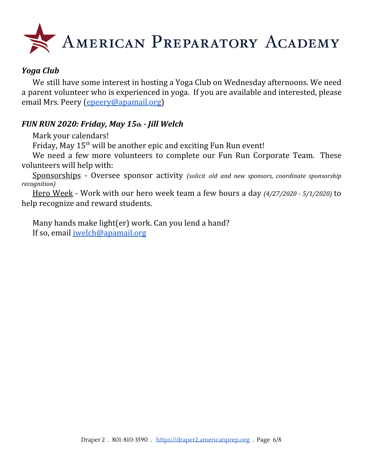

## *Yoga Club*

We still have some interest in hosting a Yoga Club on Wednesday afternoons. We need a parent volunteer who is experienced in yoga. If you are available and interested, please email Mrs. Peery [\(epeery@apamail.org](mailto:epeery@apamail.org))

## *FUN RUN 2020: Friday, May 15***th** *- Jill Welch*

Mark your calendars!

Friday, May 15<sup>th</sup> will be another epic and exciting Fun Run event!

We need a few more volunteers to complete our Fun Run Corporate Team. These volunteers will help with:

Sponsorships - Oversee sponsor activity *(solicit old and new sponsors, coordinate sponsorship recognition)*

Hero Week - Work with our hero week team a few hours a day *(4/27/2020 - 5/1/2020)* to help recognize and reward students.

Many hands make light(er) work. Can you lend a hand? If so, email [jwelch@apamail.org](mailto:jwelch@apamail.org)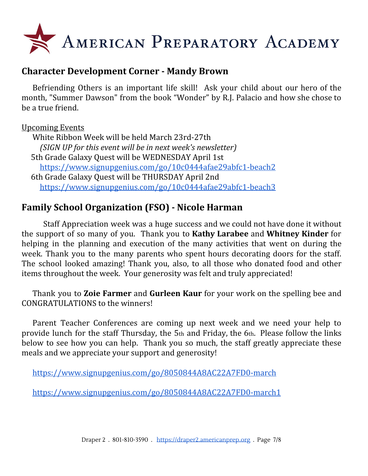

## **Character Development Corner - Mandy Brown**

Befriending Others is an important life skill! Ask your child about our hero of the month, "Summer Dawson" from the book "Wonder" by R.J. Palacio and how she chose to be a true friend.

### Upcoming Events

White Ribbon Week will be held March 23rd-27th *(SIGN UP for this event will be in next week's newsletter)* 5th Grade Galaxy Quest will be WEDNESDAY April 1st <https://www.signupgenius.com/go/10c0444afae29abfc1-beach2> 6th Grade Galaxy Quest will be THURSDAY April 2nd <https://www.signupgenius.com/go/10c0444afae29abfc1-beach3>

## **Family School Organization (FSO) - Nicole Harman**

Staff Appreciation week was a huge success and we could not have done it without the support of so many of you. Thank you to **Kathy Larabee** and **Whitney Kinder** for helping in the planning and execution of the many activities that went on during the week. Thank you to the many parents who spent hours decorating doors for the staff. The school looked amazing! Thank you, also, to all those who donated food and other items throughout the week. Your generosity was felt and truly appreciated!

Thank you to **Zoie Farmer** and **Gurleen Kaur** for your work on the spelling bee and CONGRATULATIONS to the winners!

Parent Teacher Conferences are coming up next week and we need your help to provide lunch for the staff Thursday, the 5th and Friday, the 6th. Please follow the links below to see how you can help. Thank you so much, the staff greatly appreciate these meals and we appreciate your support and generosity!

<https://www.signupgenius.com/go/8050844A8AC22A7FD0-march>

<https://www.signupgenius.com/go/8050844A8AC22A7FD0-march1>